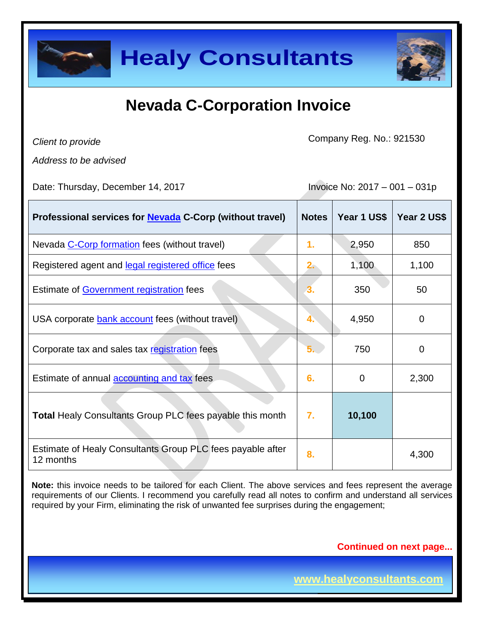

| <b>Healy Consultants</b>                                                                                                                                                                                                                                                                                                   |                               |             |                |
|----------------------------------------------------------------------------------------------------------------------------------------------------------------------------------------------------------------------------------------------------------------------------------------------------------------------------|-------------------------------|-------------|----------------|
| <b>Nevada C-Corporation Invoice</b>                                                                                                                                                                                                                                                                                        |                               |             |                |
| Client to provide                                                                                                                                                                                                                                                                                                          | Company Reg. No.: 921530      |             |                |
| Address to be advised                                                                                                                                                                                                                                                                                                      |                               |             |                |
| Date: Thursday, December 14, 2017                                                                                                                                                                                                                                                                                          | Invoice No: 2017 - 001 - 031p |             |                |
| Professional services for <b>Nevada</b> C-Corp (without travel)                                                                                                                                                                                                                                                            | <b>Notes</b>                  | Year 1 US\$ | Year 2 US\$    |
| Nevada C-Corp formation fees (without travel)                                                                                                                                                                                                                                                                              | 1.                            | 2,950       | 850            |
| Registered agent and legal registered office fees                                                                                                                                                                                                                                                                          | $2 -$                         | 1,100       | 1,100          |
| Estimate of Government registration fees                                                                                                                                                                                                                                                                                   |                               | 350         | 50             |
| USA corporate <b>bank account</b> fees (without travel)                                                                                                                                                                                                                                                                    |                               | 4,950       | $\Omega$       |
| Corporate tax and sales tax registration fees                                                                                                                                                                                                                                                                              | 5.                            | 750         | $\overline{0}$ |
| Estimate of annual <b>accounting and tax</b> fees                                                                                                                                                                                                                                                                          | 6.                            | 0           | 2,300          |
| <b>Total Healy Consultants Group PLC fees payable this month</b>                                                                                                                                                                                                                                                           | 7.                            | 10,100      |                |
| Estimate of Healy Consultants Group PLC fees payable after<br>12 months                                                                                                                                                                                                                                                    | 8.                            |             | 4,300          |
| Note: this invoice needs to be tailored for each Client. The above services and fees represent the average<br>requirements of our Clients. I recommend you carefully read all notes to confirm and understand all services<br>required by your Firm, eliminating the risk of unwanted fee surprises during the engagement; |                               |             |                |
| <b>Continued on next page</b>                                                                                                                                                                                                                                                                                              |                               |             |                |
| www.healyconsultants.com                                                                                                                                                                                                                                                                                                   |                               |             |                |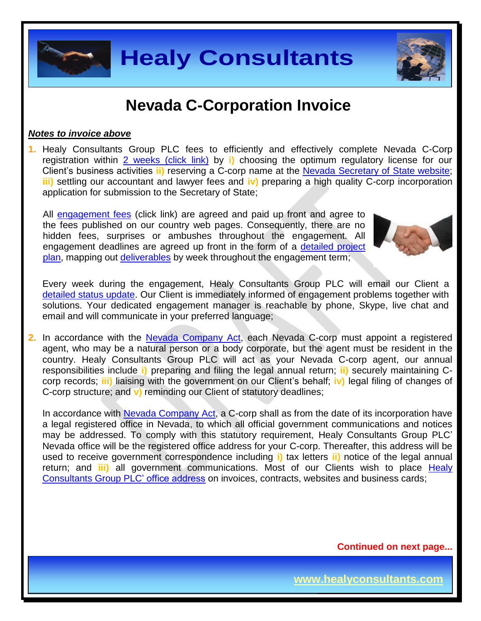

#### *Notes to invoice above*

**1.** Healy Consultants Group PLC fees to efficiently and effectively complete Nevada C-Corp registration within 2 [weeks \(click link\)](http://www.healyconsultants.com/nevada-company-registration/fees-timelines/#timelines) by **i)** choosing the optimum regulatory license for our Client's business activities **ii)** reserving a C-corp name at the [Nevada Secretary of State](https://nvsos.gov/index.aspx?page=428) website; **iii)** settling our accountant and lawyer fees and **iv)** preparing a high quality C-corp incorporation application for submission to the Secretary of State;

All [engagement fees](http://www.healyconsultants.com/company-registration-fees/) (click link) are agreed and paid up front and agree to the fees published on our country web pages. Consequently, there are no hidden fees, surprises or ambushes throughout the engagement. All engagement deadlines are agreed up front in the form of a [detailed project](http://www.healyconsultants.com/index-important-links/example-project-plan/)  [plan,](http://www.healyconsultants.com/index-important-links/example-project-plan/) mapping out [deliverables](http://www.healyconsultants.com/deliverables-to-our-clients/) by week throughout the engagement term;

Every week during the engagement, Healy Consultants Group PLC will email our Client a [detailed status update.](http://www.healyconsultants.com/index-important-links/weekly-engagement-status-email/) Our Client is immediately informed of engagement problems together with solutions. Your dedicated engagement manager is reachable by phone, Skype, live chat and email and will communicate in your preferred language;

**2.** In accordance with the Nevada [Company Act,](http://www.leg.state.nv.us/NRS/NRS-086.html) each Nevada C-corp must appoint a registered agent, who may be a natural person or a body corporate, but the agent must be resident in the country. Healy Consultants Group PLC will act as your Nevada C-corp agent, our annual responsibilities include **i)** preparing and filing the legal annual return; **ii)** securely maintaining Ccorp records; **iii)** liaising with the government on our Client's behalf; **iv)** legal filing of changes of C-corp structure; and **v)** reminding our Client of statutory deadlines;

**Healy Consultants**<br>
Wevada C-Corporation Invoice<br>
The Scroup PLC fees to efficiently and effectively complete Nevada C-Corporations in specifical links by it choosing the optimum required price for example in the stress o In accordance with [Nevada Company Act,](http://www.leg.state.nv.us/NRS/NRS-086.html) a C-corp shall as from the date of its incorporation have a legal registered office in Nevada, to which all official government communications and notices may be addressed. To comply with this statutory requirement, Healy Consultants Group PLC' Nevada office will be the registered office address for your C-corp. Thereafter, this address will be used to receive government correspondence including **i)** tax letters **ii)** notice of the legal annual return; and **iii)** all government communications. Most of our Clients wish to place [Healy](http://www.healyconsultants.com/corporate-outsourcing-services/company-secretary-and-legal-registered-office/)  [Consultants Group PLC' office address](http://www.healyconsultants.com/corporate-outsourcing-services/company-secretary-and-legal-registered-office/) on invoices, contracts, websites and business cards;

**Continued on next page...**



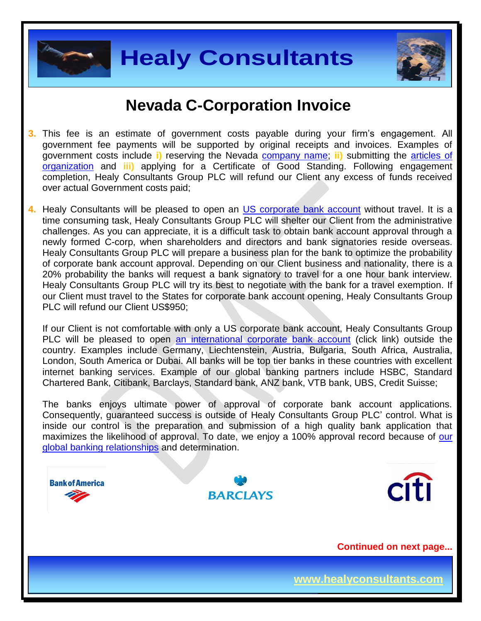



- **3.** This fee is an estimate of government costs payable during your firm's engagement. All government fee payments will be supported by original receipts and invoices. Examples of government costs include **i)** reserving the Nevada [company name;](http://nvsos.gov/Modules/ShowDocument.aspx?documentid=901) **ii)** submitting the [articles of](http://nvsos.gov/Modules/ShowDocument.aspx?documentid=1004)  [organization](http://nvsos.gov/Modules/ShowDocument.aspx?documentid=1004) and **iii)** applying for a Certificate of Good Standing. Following engagement completion, Healy Consultants Group PLC will refund our Client any excess of funds received over actual Government costs paid;
- **4.** Healy Consultants will be pleased to open an [US corporate bank account](http://www.healyconsultants.com/usa-company-registration/formation-support-services/#banking) without travel. It is a time consuming task, Healy Consultants Group PLC will shelter our Client from the administrative challenges. As you can appreciate, it is a difficult task to obtain bank account approval through a newly formed C-corp, when shareholders and directors and bank signatories reside overseas. Healy Consultants Group PLC will prepare a business plan for the bank to optimize the probability of corporate bank account approval. Depending on our Client business and nationality, there is a 20% probability the banks will request a bank signatory to travel for a one hour bank interview. Healy Consultants Group PLC will try its best to negotiate with the bank for a travel exemption. If our Client must travel to the States for corporate bank account opening, Healy Consultants Group PLC will refund our Client US\$950;

If our Client is not comfortable with only a US corporate bank account, Healy Consultants Group PLC will be pleased to open [an international corporate bank account](http://www.healyconsultants.com/international-banking/) (click link) outside the country. Examples include Germany, Liechtenstein, Austria, Bulgaria, South Africa, Australia, London, South America or Dubai. All banks will be top tier banks in these countries with excellent internet banking services. Example of our global banking partners include HSBC, Standard Chartered Bank, Citibank, Barclays, Standard bank, ANZ bank, VTB bank, UBS, Credit Suisse;

The banks enjoys ultimate power of approval of corporate bank account applications. Consequently, guaranteed success is outside of Healy Consultants Group PLC' control. What is inside our control is the preparation and submission of a high quality bank application that maximizes the likelihood of approval. To date, we enjoy a 100% approval record because of our [global banking relationships](http://www.healyconsultants.com/international-banking/corporate-accounts/) and determination.

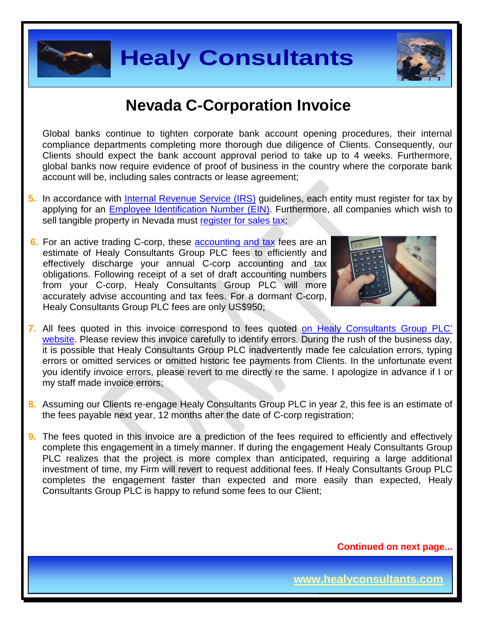



Global banks continue to tighten corporate bank account opening procedures, their internal compliance departments completing more thorough due diligence of Clients. Consequently, our Clients should expect the bank account approval period to take up to 4 weeks. Furthermore, global banks now require evidence of proof of business in the country where the corporate bank account will be, including sales contracts or lease agreement;

- **5.** In accordance with [Internal Revenue Service \(IRS\)](http://www.irs.gov/) guidelines, each entity must register for tax by applying for an [Employee Identification Number \(EIN\).](http://www.irs.gov/pub/irs-pdf/p1635.pdf) Furthermore, all companies which wish to sell tangible property in Nevada must [register for sales tax;](http://tax.nv.gov/FAQs/Sales_Tax_Information___FAQ_s/)
- **6.** For an active trading C-corp, these [accounting and tax](http://www.healyconsultants.com/usa-company-registration/accounting-legal/) fees are an estimate of Healy Consultants Group PLC fees to efficiently and effectively discharge your annual C-corp accounting and tax obligations. Following receipt of a set of draft accounting numbers from your C-corp, Healy Consultants Group PLC will more accurately advise accounting and tax fees. For a dormant C-corp, Healy Consultants Group PLC fees are only US\$950;



- **7.** All fees quoted in this invoice correspond to fees quoted [on Healy Consultants Group PLC'](http://www.healyconsultants.com/company-registration-fees/)  [website.](http://www.healyconsultants.com/company-registration-fees/) Please review this invoice carefully to identify errors. During the rush of the business day, it is possible that Healy Consultants Group PLC inadvertently made fee calculation errors, typing errors or omitted services or omitted historic fee payments from Clients. In the unfortunate event you identify invoice errors, please revert to me directly re the same. I apologize in advance if I or my staff made invoice errors;
- **8.** Assuming our Clients re-engage Healy Consultants Group PLC in year 2, this fee is an estimate of the fees payable next year, 12 months after the date of C-corp registration;
- **Healy Consultants**<br> **Mevada C-Corporation Invoice**<br>
Internetic complete proporation invoice<br>
Internetic complete proporation invoice<br>
Internetic complete proporation of diversion and discussion of Clients. Consequently, o **9.** The fees quoted in this invoice are a prediction of the fees required to efficiently and effectively complete this engagement in a timely manner. If during the engagement Healy Consultants Group PLC realizes that the project is more complex than anticipated, requiring a large additional investment of time, my Firm will revert to request additional fees. If Healy Consultants Group PLC completes the engagement faster than expected and more easily than expected, Healy Consultants Group PLC is happy to refund some fees to our Client;

**Continued on next page...**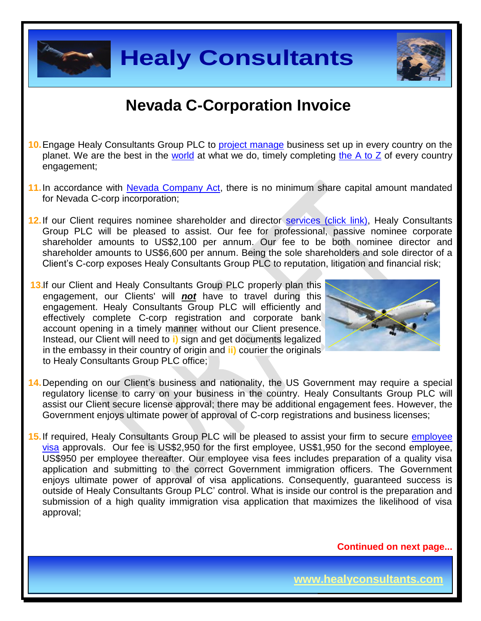

- **10.**Engage Healy Consultants Group PLC to [project manage](http://www.healyconsultants.com/project-manage-engagements/) business set up in every country on the planet. We are the best in the [world](http://www.healyconsultants.com/best-in-the-world/) at what we do, timely completing the A to  $Z$  of every country engagement;
- **11.**In accordance with [Nevada Company Act,](http://www.leg.state.nv.us/NRS/NRS-086.html) there is no minimum share capital amount mandated for Nevada C-corp incorporation;
- 12. If our Client requires nominee shareholder and director services [\(click link\),](http://www.healyconsultants.com/corporate-outsourcing-services/nominee-shareholders-directors/) Healy Consultants Group PLC will be pleased to assist. Our fee for professional, passive nominee corporate shareholder amounts to US\$2,100 per annum. Our fee to be both nominee director and shareholder amounts to US\$6,600 per annum. Being the sole shareholders and sole director of a Client's C-corp exposes Healy Consultants Group PLC to reputation, litigation and financial risk;
- 13.If our Client and Healy Consultants Group PLC properly plan this engagement, our Clients' will *not* have to travel during this engagement. Healy Consultants Group PLC will efficiently and effectively complete C-corp registration and corporate bank account opening in a timely manner without our Client presence. Instead, our Client will need to **i)** sign and get documents legalized in the embassy in their country of origin and **ii)** courier the originals to Healy Consultants Group PLC office;



**Page 5 of 8**

- **14.**Depending on our Client's business and nationality, the US Government may require a special regulatory license to carry on your business in the country. Healy Consultants Group PLC will assist our Client secure license approval; there may be additional engagement fees. However, the Government enjoys ultimate power of approval of C-corp registrations and business licenses;
- **Healy Consultants**<br>
Wevada C-Corporation Invoice<br>
Sustains Group PLC to <u>project manage</u> business set up in every country on thest in the <u>world</u> at what we do, timely completing <u>the A to Z</u> of every count<br>
Intervalse Co **15.**If required, Healy Consultants Group PLC will be pleased to assist your firm to secure [employee](http://www.healyconsultants.com/usa-company-registration/formation-support-services/)  [visa](http://www.healyconsultants.com/usa-company-registration/formation-support-services/) approvals. Our fee is US\$2,950 for the first employee, US\$1,950 for the second employee, US\$950 per employee thereafter. Our employee visa fees includes preparation of a quality visa application and submitting to the correct Government immigration officers. The Government enjoys ultimate power of approval of visa applications. Consequently, guaranteed success is outside of Healy Consultants Group PLC' control. What is inside our control is the preparation and submission of a high quality immigration visa application that maximizes the likelihood of visa approval;

**Continued on next page...**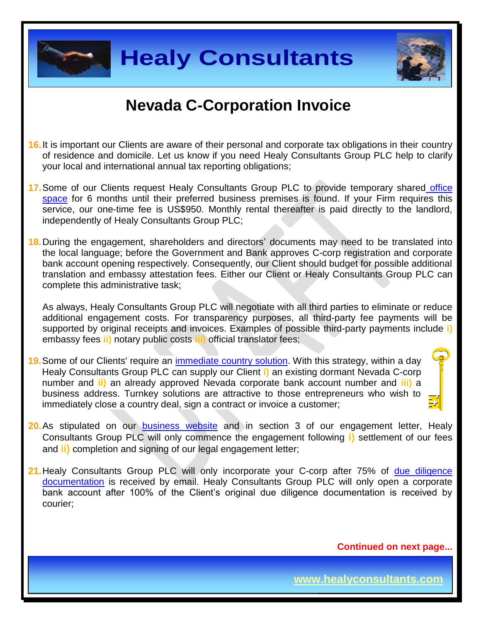



- **16.**It is important our Clients are aware of their personal and corporate tax obligations in their country of residence and domicile. Let us know if you need Healy Consultants Group PLC help to clarify your local and international annual tax reporting obligations;
- 17. Some of our Clients request Healy Consultants Group PLC to provide temporary shared office [space](http://www.healyconsultants.com/virtual-office/) for 6 months until their preferred business premises is found. If your Firm requires this service, our one-time fee is US\$950. Monthly rental thereafter is paid directly to the landlord, independently of Healy Consultants Group PLC;

**Healy Consultants**<br>
Nevada C-Corporation Invoice<br>
Clents are aware of their personal and corporate tax obligations in their count<br>
mational is known if you need Healy Consultants Group PLC help to care<br>
interaction annual **18.**During the engagement, shareholders and directors' documents may need to be translated into the local language; before the Government and Bank approves C-corp registration and corporate bank account opening respectively. Consequently, our Client should budget for possible additional translation and embassy attestation fees. Either our Client or Healy Consultants Group PLC can complete this administrative task;

As always, Healy Consultants Group PLC will negotiate with all third parties to eliminate or reduce additional engagement costs. For transparency purposes, all third-party fee payments will be supported by original receipts and invoices. Examples of possible third-party payments include **i)** embassy fees **ii)** notary public costs **iii)** official translator fees;

- **19.**Some of our Clients' require an [immediate country](http://www.healyconsultants.com/turnkey-solutions/) solution. With this strategy, within a day Healy Consultants Group PLC can supply our Client **i)** an existing dormant Nevada C-corp number and **ii)** an already approved Nevada corporate bank account number and **iii)** a business address. Turnkey solutions are attractive to those entrepreneurs who wish to immediately close a country deal, sign a contract or invoice a customer;
	-
- **20.**As stipulated on our **[business website](http://www.healyconsultants.com/)** and in section 3 of our engagement letter, Healy Consultants Group PLC will only commence the engagement following **i)** settlement of our fees and **ii)** completion and signing of our legal engagement letter;
- 21. Healy Consultants Group PLC will only incorporate your C-corp after 75% of due diligence [documentation](http://www.healyconsultants.com/due-diligence/) is received by email. Healy Consultants Group PLC will only open a corporate bank account after 100% of the Client's original due diligence documentation is received by courier;

**Continued on next page...**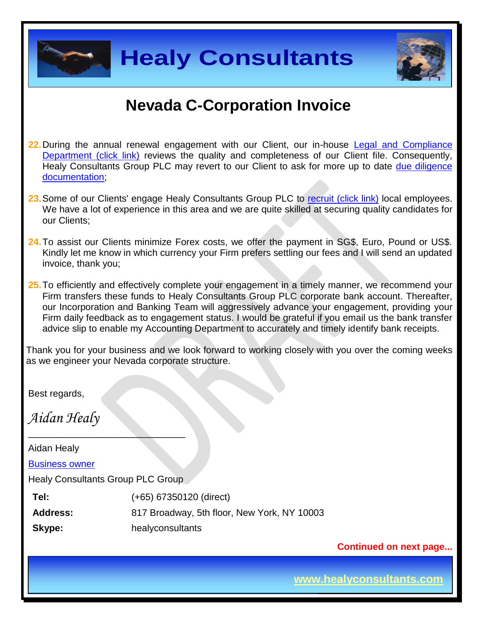



- **22.**During the annual renewal engagement with our Client, our in-house [Legal and Compliance](http://www.healyconsultants.com/about-us/key-personnel/cai-xin-profile/)  [Department \(click link\)](http://www.healyconsultants.com/about-us/key-personnel/cai-xin-profile/) reviews the quality and completeness of our Client file. Consequently, Healy Consultants Group PLC may revert to our Client to ask for more up to date due diligence [documentation;](http://www.healyconsultants.com/due-diligence/)
- 23. Some of our Clients' engage Healy Consultants Group PLC to [recruit \(click link\)](http://www.healyconsultants.com/corporate-outsourcing-services/how-we-help-our-clients-recruit-quality-employees/) local employees. We have a lot of experience in this area and we are quite skilled at securing quality candidates for our Clients;
- **24.**To assist our Clients minimize Forex costs, we offer the payment in SG\$, Euro, Pound or US\$. Kindly let me know in which currency your Firm prefers settling our fees and I will send an updated invoice, thank you;
- **25.**To efficiently and effectively complete your engagement in a timely manner, we recommend your Firm transfers these funds to Healy Consultants Group PLC corporate bank account. Thereafter, our Incorporation and Banking Team will aggressively advance your engagement, providing your Firm daily feedback as to engagement status. I would be grateful if you email us the bank transfer advice slip to enable my Accounting Department to accurately and timely identify bank receipts.

Thank you for your business and we look forward to working closely with you over the coming weeks as we engineer your Nevada corporate structure.

Best regards,

*Aidan Healy*

**Healy Consultants**<br>
Mevada C-Corporation Invoice<br>
Transwal engagement with our Client, our in-house <u>Legal and Complian</u><br>
<u>This reviews</u> in guality and completeness of our Client file. Consequent<br>
In Group PLC may revert  $\_$ Aidan Healy [Business owner](http://www.healyconsultants.com/about-us/key-personnel/aidan-healy-profile/) Healy Consultants Group PLC Group **Tel:** (+65) 67350120 (direct) **Address:** 817 Broadway, 5th floor, New York, NY 10003 **Skype:** healyconsultants

**Continued on next page...**